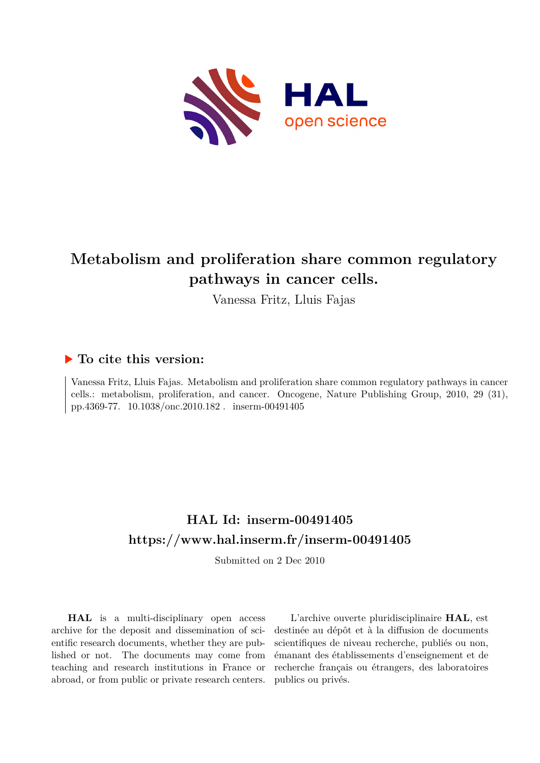

# **Metabolism and proliferation share common regulatory pathways in cancer cells.**

Vanessa Fritz, Lluis Fajas

## **To cite this version:**

Vanessa Fritz, Lluis Fajas. Metabolism and proliferation share common regulatory pathways in cancer cells.: metabolism, proliferation, and cancer. Oncogene, Nature Publishing Group, 2010, 29 (31), pp.4369-77.  $10.1038/$ onc.2010.182 . inserm-00491405

# **HAL Id: inserm-00491405 <https://www.hal.inserm.fr/inserm-00491405>**

Submitted on 2 Dec 2010

**HAL** is a multi-disciplinary open access archive for the deposit and dissemination of scientific research documents, whether they are published or not. The documents may come from teaching and research institutions in France or abroad, or from public or private research centers.

L'archive ouverte pluridisciplinaire **HAL**, est destinée au dépôt et à la diffusion de documents scientifiques de niveau recherche, publiés ou non, émanant des établissements d'enseignement et de recherche français ou étrangers, des laboratoires publics ou privés.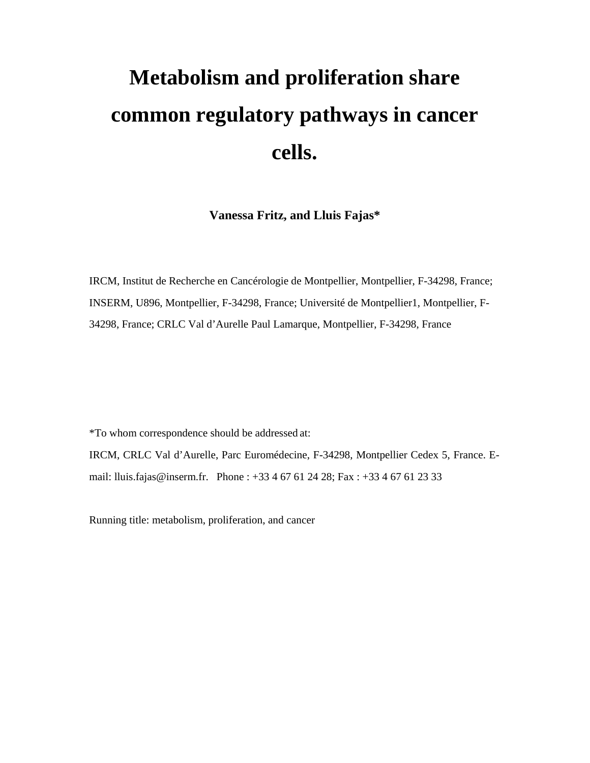# **Metabolism and proliferation share common regulatory pathways in cancer cells.**

**Vanessa Fritz, and Lluis Fajas\*** 

IRCM, Institut de Recherche en Cancérologie de Montpellier, Montpellier, F-34298, France; INSERM, U896, Montpellier, F-34298, France; Université de Montpellier1, Montpellier, F-34298, France; CRLC Val d'Aurelle Paul Lamarque, Montpellier, F-34298, France

\*To whom correspondence should be addressed at:

IRCM, CRLC Val d'Aurelle, Parc Euromédecine, F-34298, Montpellier Cedex 5, France. Email: lluis.fajas@inserm.fr. Phone : +33 4 67 61 24 28; Fax : +33 4 67 61 23 33

Running title: metabolism, proliferation, and cancer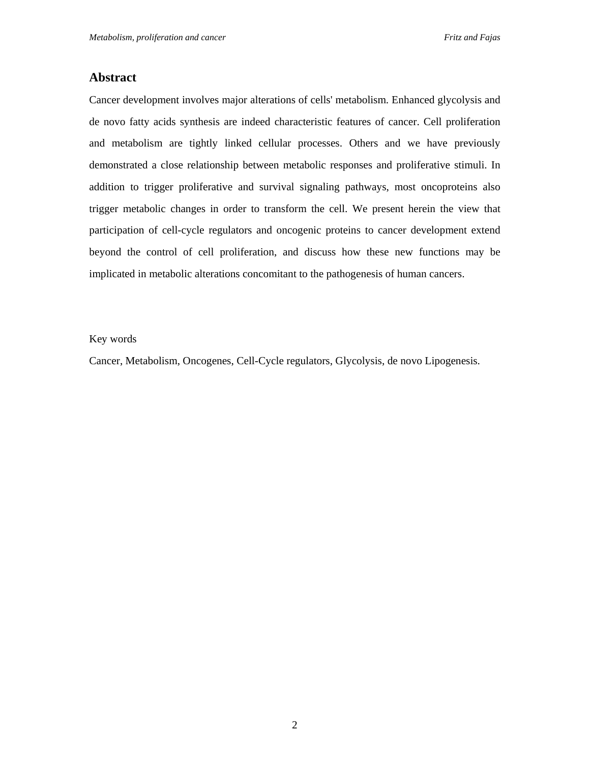#### **Abstract**

Cancer development involves major alterations of cells' metabolism. Enhanced glycolysis and de novo fatty acids synthesis are indeed characteristic features of cancer. Cell proliferation and metabolism are tightly linked cellular processes. Others and we have previously demonstrated a close relationship between metabolic responses and proliferative stimuli. In addition to trigger proliferative and survival signaling pathways, most oncoproteins also trigger metabolic changes in order to transform the cell. We present herein the view that participation of cell-cycle regulators and oncogenic proteins to cancer development extend beyond the control of cell proliferation, and discuss how these new functions may be implicated in metabolic alterations concomitant to the pathogenesis of human cancers.

#### Key words

Cancer, Metabolism, Oncogenes, Cell-Cycle regulators, Glycolysis, de novo Lipogenesis.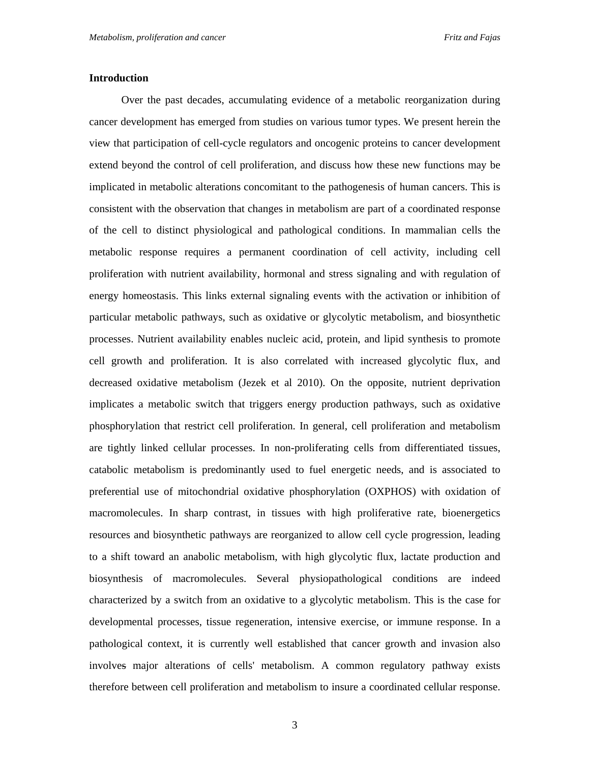#### **Introduction**

Over the past decades, accumulating evidence of a metabolic reorganization during cancer development has emerged from studies on various tumor types. We present herein the view that participation of cell-cycle regulators and oncogenic proteins to cancer development extend beyond the control of cell proliferation, and discuss how these new functions may be implicated in metabolic alterations concomitant to the pathogenesis of human cancers. This is consistent with the observation that changes in metabolism are part of a coordinated response of the cell to distinct physiological and pathological conditions. In mammalian cells the metabolic response requires a permanent coordination of cell activity, including cell proliferation with nutrient availability, hormonal and stress signaling and with regulation of energy homeostasis. This links external signaling events with the activation or inhibition of particular metabolic pathways, such as oxidative or glycolytic metabolism, and biosynthetic processes. Nutrient availability enables nucleic acid, protein, and lipid synthesis to promote cell growth and proliferation. It is also correlated with increased glycolytic flux, and decreased oxidative metabolism (Jezek et al 2010). On the opposite, nutrient deprivation implicates a metabolic switch that triggers energy production pathways, such as oxidative phosphorylation that restrict cell proliferation. In general, cell proliferation and metabolism are tightly linked cellular processes. In non-proliferating cells from differentiated tissues, catabolic metabolism is predominantly used to fuel energetic needs, and is associated to preferential use of mitochondrial oxidative phosphorylation (OXPHOS) with oxidation of macromolecules. In sharp contrast, in tissues with high proliferative rate, bioenergetics resources and biosynthetic pathways are reorganized to allow cell cycle progression, leading to a shift toward an anabolic metabolism, with high glycolytic flux, lactate production and biosynthesis of macromolecules. Several physiopathological conditions are indeed characterized by a switch from an oxidative to a glycolytic metabolism. This is the case for developmental processes, tissue regeneration, intensive exercise, or immune response. In a pathological context, it is currently well established that cancer growth and invasion also involves major alterations of cells' metabolism. A common regulatory pathway exists therefore between cell proliferation and metabolism to insure a coordinated cellular response.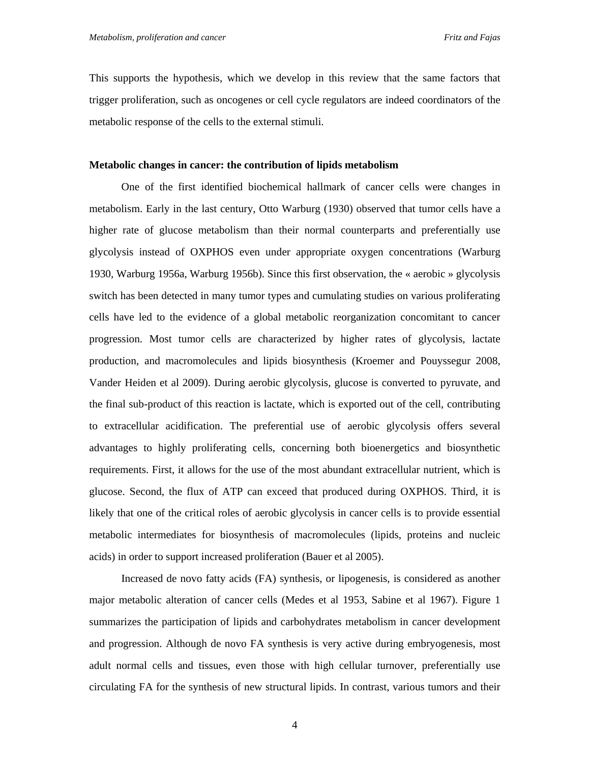This supports the hypothesis, which we develop in this review that the same factors that trigger proliferation, such as oncogenes or cell cycle regulators are indeed coordinators of the metabolic response of the cells to the external stimuli.

#### **Metabolic changes in cancer: the contribution of lipids metabolism**

One of the first identified biochemical hallmark of cancer cells were changes in metabolism. Early in the last century, Otto Warburg (1930) observed that tumor cells have a higher rate of glucose metabolism than their normal counterparts and preferentially use glycolysis instead of OXPHOS even under appropriate oxygen concentrations (Warburg 1930, Warburg 1956a, Warburg 1956b). Since this first observation, the « aerobic » glycolysis switch has been detected in many tumor types and cumulating studies on various proliferating cells have led to the evidence of a global metabolic reorganization concomitant to cancer progression. Most tumor cells are characterized by higher rates of glycolysis, lactate production, and macromolecules and lipids biosynthesis (Kroemer and Pouyssegur 2008, Vander Heiden et al 2009). During aerobic glycolysis, glucose is converted to pyruvate, and the final sub-product of this reaction is lactate, which is exported out of the cell, contributing to extracellular acidification. The preferential use of aerobic glycolysis offers several advantages to highly proliferating cells, concerning both bioenergetics and biosynthetic requirements. First, it allows for the use of the most abundant extracellular nutrient, which is glucose. Second, the flux of ATP can exceed that produced during OXPHOS. Third, it is likely that one of the critical roles of aerobic glycolysis in cancer cells is to provide essential metabolic intermediates for biosynthesis of macromolecules (lipids, proteins and nucleic acids) in order to support increased proliferation (Bauer et al 2005).

Increased de novo fatty acids (FA) synthesis, or lipogenesis, is considered as another major metabolic alteration of cancer cells (Medes et al 1953, Sabine et al 1967). Figure 1 summarizes the participation of lipids and carbohydrates metabolism in cancer development and progression. Although de novo FA synthesis is very active during embryogenesis, most adult normal cells and tissues, even those with high cellular turnover, preferentially use circulating FA for the synthesis of new structural lipids. In contrast, various tumors and their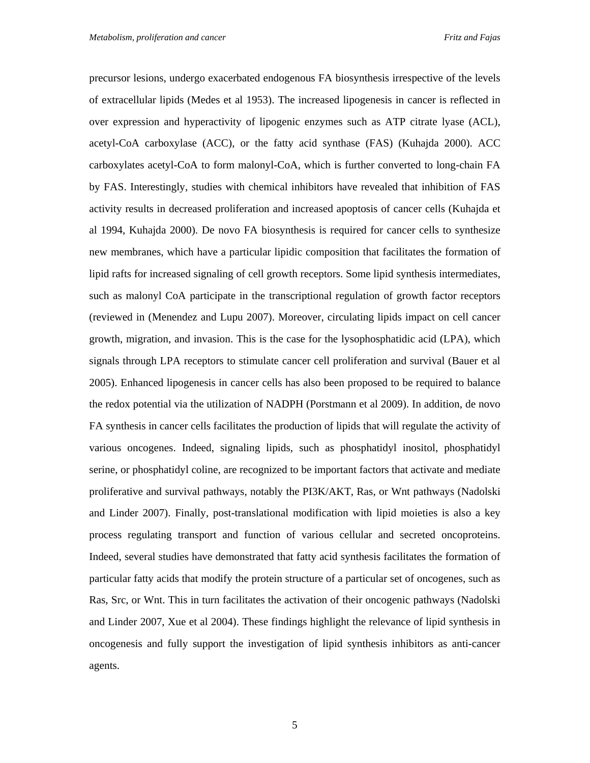precursor lesions, undergo exacerbated endogenous FA biosynthesis irrespective of the levels of extracellular lipids (Medes et al 1953). The increased lipogenesis in cancer is reflected in over expression and hyperactivity of lipogenic enzymes such as ATP citrate lyase (ACL), acetyl-CoA carboxylase (ACC), or the fatty acid synthase (FAS) (Kuhajda 2000). ACC carboxylates acetyl-CoA to form malonyl-CoA, which is further converted to long-chain FA by FAS. Interestingly, studies with chemical inhibitors have revealed that inhibition of FAS activity results in decreased proliferation and increased apoptosis of cancer cells (Kuhajda et al 1994, Kuhajda 2000). De novo FA biosynthesis is required for cancer cells to synthesize new membranes, which have a particular lipidic composition that facilitates the formation of lipid rafts for increased signaling of cell growth receptors. Some lipid synthesis intermediates, such as malonyl CoA participate in the transcriptional regulation of growth factor receptors (reviewed in (Menendez and Lupu 2007). Moreover, circulating lipids impact on cell cancer growth, migration, and invasion. This is the case for the lysophosphatidic acid (LPA), which signals through LPA receptors to stimulate cancer cell proliferation and survival (Bauer et al 2005). Enhanced lipogenesis in cancer cells has also been proposed to be required to balance the redox potential via the utilization of NADPH (Porstmann et al 2009). In addition, de novo FA synthesis in cancer cells facilitates the production of lipids that will regulate the activity of various oncogenes. Indeed, signaling lipids, such as phosphatidyl inositol, phosphatidyl serine, or phosphatidyl coline, are recognized to be important factors that activate and mediate proliferative and survival pathways, notably the PI3K/AKT, Ras, or Wnt pathways (Nadolski and Linder 2007). Finally, post-translational modification with lipid moieties is also a key process regulating transport and function of various cellular and secreted oncoproteins. Indeed, several studies have demonstrated that fatty acid synthesis facilitates the formation of particular fatty acids that modify the protein structure of a particular set of oncogenes, such as Ras, Src, or Wnt. This in turn facilitates the activation of their oncogenic pathways (Nadolski and Linder 2007, Xue et al 2004). These findings highlight the relevance of lipid synthesis in oncogenesis and fully support the investigation of lipid synthesis inhibitors as anti-cancer agents.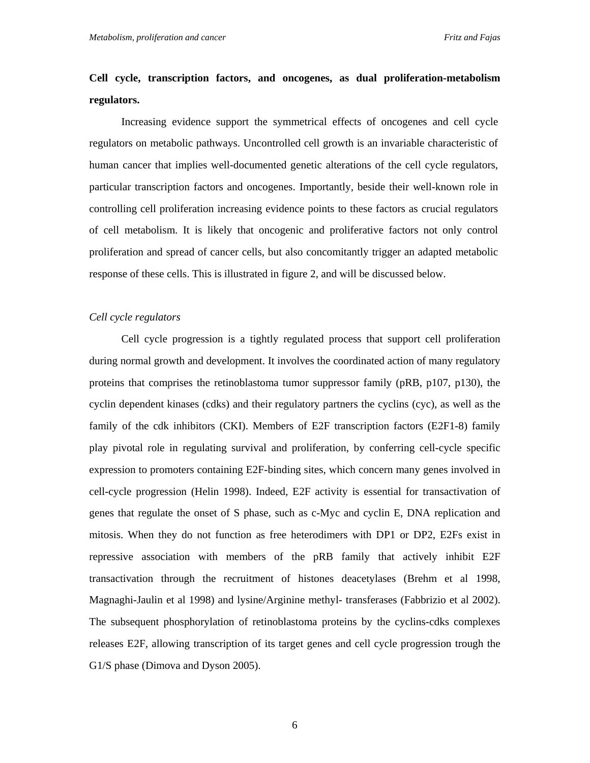## **Cell cycle, transcription factors, and oncogenes, as dual proliferation-metabolism regulators.**

Increasing evidence support the symmetrical effects of oncogenes and cell cycle regulators on metabolic pathways. Uncontrolled cell growth is an invariable characteristic of human cancer that implies well-documented genetic alterations of the cell cycle regulators, particular transcription factors and oncogenes. Importantly, beside their well-known role in controlling cell proliferation increasing evidence points to these factors as crucial regulators of cell metabolism. It is likely that oncogenic and proliferative factors not only control proliferation and spread of cancer cells, but also concomitantly trigger an adapted metabolic response of these cells. This is illustrated in figure 2, and will be discussed below.

#### *Cell cycle regulators*

Cell cycle progression is a tightly regulated process that support cell proliferation during normal growth and development. It involves the coordinated action of many regulatory proteins that comprises the retinoblastoma tumor suppressor family (pRB, p107, p130), the cyclin dependent kinases (cdks) and their regulatory partners the cyclins (cyc), as well as the family of the cdk inhibitors (CKI). Members of E2F transcription factors (E2F1-8) family play pivotal role in regulating survival and proliferation, by conferring cell-cycle specific expression to promoters containing E2F-binding sites, which concern many genes involved in cell-cycle progression (Helin 1998). Indeed, E2F activity is essential for transactivation of genes that regulate the onset of S phase, such as c-Myc and cyclin E, DNA replication and mitosis. When they do not function as free heterodimers with DP1 or DP2, E2Fs exist in repressive association with members of the pRB family that actively inhibit E2F transactivation through the recruitment of histones deacetylases (Brehm et al 1998, Magnaghi-Jaulin et al 1998) and lysine/Arginine methyl- transferases (Fabbrizio et al 2002). The subsequent phosphorylation of retinoblastoma proteins by the cyclins-cdks complexes releases E2F, allowing transcription of its target genes and cell cycle progression trough the G1/S phase (Dimova and Dyson 2005).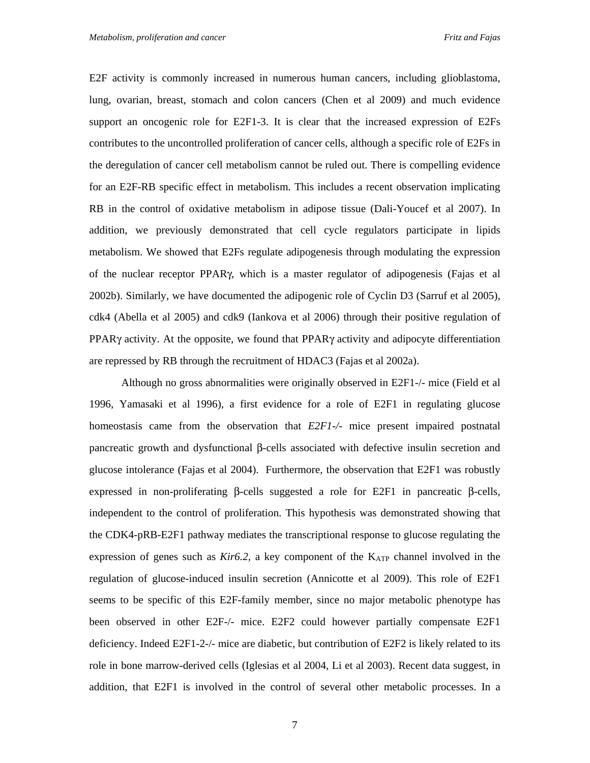E2F activity is commonly increased in numerous human cancers, including glioblastoma, lung, ovarian, breast, stomach and colon cancers (Chen et al 2009) and much evidence support an oncogenic role for E2F1-3. It is clear that the increased expression of E2Fs contributes to the uncontrolled proliferation of cancer cells, although a specific role of E2Fs in the deregulation of cancer cell metabolism cannot be ruled out. There is compelling evidence for an E2F-RB specific effect in metabolism. This includes a recent observation implicating RB in the control of oxidative metabolism in adipose tissue (Dali-Youcef et al 2007). In addition, we previously demonstrated that cell cycle regulators participate in lipids metabolism. We showed that E2Fs regulate adipogenesis through modulating the expression of the nuclear receptor PPARγ, which is a master regulator of adipogenesis (Fajas et al 2002b). Similarly, we have documented the adipogenic role of Cyclin D3 (Sarruf et al 2005), cdk4 (Abella et al 2005) and cdk9 (Iankova et al 2006) through their positive regulation of PPARγ activity. At the opposite, we found that  $PPARγ$  activity and adipocyte differentiation are repressed by RB through the recruitment of HDAC3 (Fajas et al 2002a).

Although no gross abnormalities were originally observed in E2F1-/- mice (Field et al 1996, Yamasaki et al 1996), a first evidence for a role of E2F1 in regulating glucose homeostasis came from the observation that *E2F1-/-* mice present impaired postnatal pancreatic growth and dysfunctional β-cells associated with defective insulin secretion and glucose intolerance (Fajas et al 2004). Furthermore, the observation that E2F1 was robustly expressed in non-proliferating β-cells suggested a role for E2F1 in pancreatic β-cells, independent to the control of proliferation. This hypothesis was demonstrated showing that the CDK4-pRB-E2F1 pathway mediates the transcriptional response to glucose regulating the expression of genes such as *Kir6.2*, a key component of the K<sub>ATP</sub> channel involved in the regulation of glucose-induced insulin secretion (Annicotte et al 2009). This role of E2F1 seems to be specific of this E2F-family member, since no major metabolic phenotype has been observed in other E2F-/- mice. E2F2 could however partially compensate E2F1 deficiency. Indeed E2F1-2-/- mice are diabetic, but contribution of E2F2 is likely related to its role in bone marrow-derived cells (Iglesias et al 2004, Li et al 2003). Recent data suggest, in addition, that E2F1 is involved in the control of several other metabolic processes. In a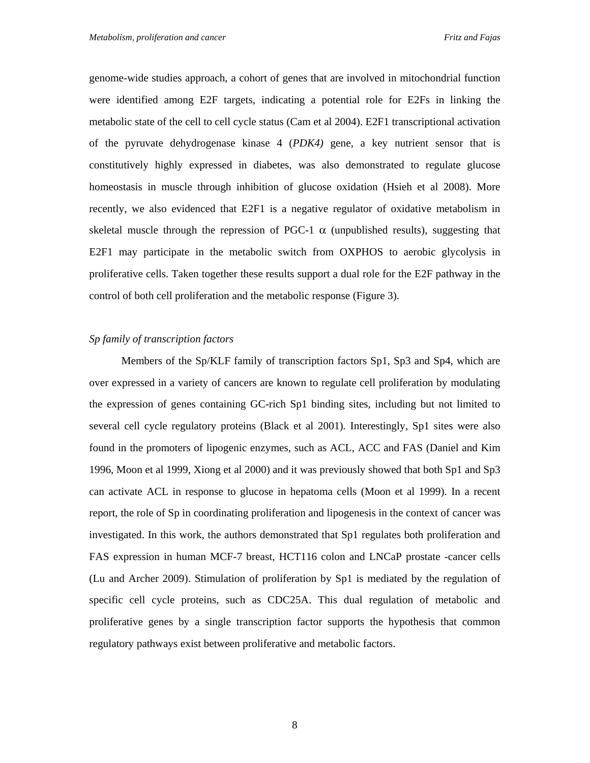genome-wide studies approach, a cohort of genes that are involved in mitochondrial function were identified among E2F targets, indicating a potential role for E2Fs in linking the metabolic state of the cell to cell cycle status (Cam et al 2004). E2F1 transcriptional activation of the pyruvate dehydrogenase kinase 4 (*PDK4)* gene, a key nutrient sensor that is constitutively highly expressed in diabetes, was also demonstrated to regulate glucose homeostasis in muscle through inhibition of glucose oxidation (Hsieh et al 2008). More recently, we also evidenced that E2F1 is a negative regulator of oxidative metabolism in skeletal muscle through the repression of PGC-1  $\alpha$  (unpublished results), suggesting that E2F1 may participate in the metabolic switch from OXPHOS to aerobic glycolysis in proliferative cells. Taken together these results support a dual role for the E2F pathway in the control of both cell proliferation and the metabolic response (Figure 3).

#### *Sp family of transcription factors*

Members of the Sp/KLF family of transcription factors Sp1, Sp3 and Sp4, which are over expressed in a variety of cancers are known to regulate cell proliferation by modulating the expression of genes containing GC-rich Sp1 binding sites, including but not limited to several cell cycle regulatory proteins (Black et al 2001)*.* Interestingly, Sp1 sites were also found in the promoters of lipogenic enzymes, such as ACL, ACC and FAS (Daniel and Kim 1996, Moon et al 1999, Xiong et al 2000) and it was previously showed that both Sp1 and Sp3 can activate ACL in response to glucose in hepatoma cells (Moon et al 1999). In a recent report, the role of Sp in coordinating proliferation and lipogenesis in the context of cancer was investigated. In this work, the authors demonstrated that Sp1 regulates both proliferation and FAS expression in human MCF-7 breast, HCT116 colon and LNCaP prostate -cancer cells (Lu and Archer 2009). Stimulation of proliferation by Sp1 is mediated by the regulation of specific cell cycle proteins, such as CDC25A. This dual regulation of metabolic and proliferative genes by a single transcription factor supports the hypothesis that common regulatory pathways exist between proliferative and metabolic factors.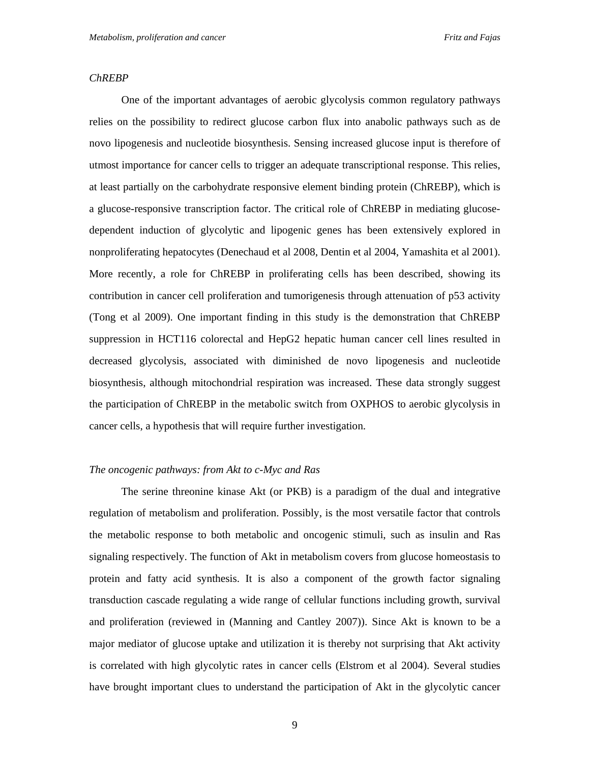#### *ChREBP*

One of the important advantages of aerobic glycolysis common regulatory pathways relies on the possibility to redirect glucose carbon flux into anabolic pathways such as de novo lipogenesis and nucleotide biosynthesis. Sensing increased glucose input is therefore of utmost importance for cancer cells to trigger an adequate transcriptional response. This relies, at least partially on the carbohydrate responsive element binding protein (ChREBP), which is a glucose-responsive transcription factor. The critical role of ChREBP in mediating glucosedependent induction of glycolytic and lipogenic genes has been extensively explored in nonproliferating hepatocytes (Denechaud et al 2008, Dentin et al 2004, Yamashita et al 2001). More recently, a role for ChREBP in proliferating cells has been described, showing its contribution in cancer cell proliferation and tumorigenesis through attenuation of p53 activity (Tong et al 2009). One important finding in this study is the demonstration that ChREBP suppression in HCT116 colorectal and HepG2 hepatic human cancer cell lines resulted in decreased glycolysis, associated with diminished de novo lipogenesis and nucleotide biosynthesis, although mitochondrial respiration was increased. These data strongly suggest the participation of ChREBP in the metabolic switch from OXPHOS to aerobic glycolysis in cancer cells, a hypothesis that will require further investigation.

#### *The oncogenic pathways: from Akt to c-Myc and Ras*

The serine threonine kinase Akt (or PKB) is a paradigm of the dual and integrative regulation of metabolism and proliferation. Possibly, is the most versatile factor that controls the metabolic response to both metabolic and oncogenic stimuli, such as insulin and Ras signaling respectively. The function of Akt in metabolism covers from glucose homeostasis to protein and fatty acid synthesis. It is also a component of the growth factor signaling transduction cascade regulating a wide range of cellular functions including growth, survival and proliferation (reviewed in (Manning and Cantley 2007)). Since Akt is known to be a major mediator of glucose uptake and utilization it is thereby not surprising that Akt activity is correlated with high glycolytic rates in cancer cells (Elstrom et al 2004). Several studies have brought important clues to understand the participation of Akt in the glycolytic cancer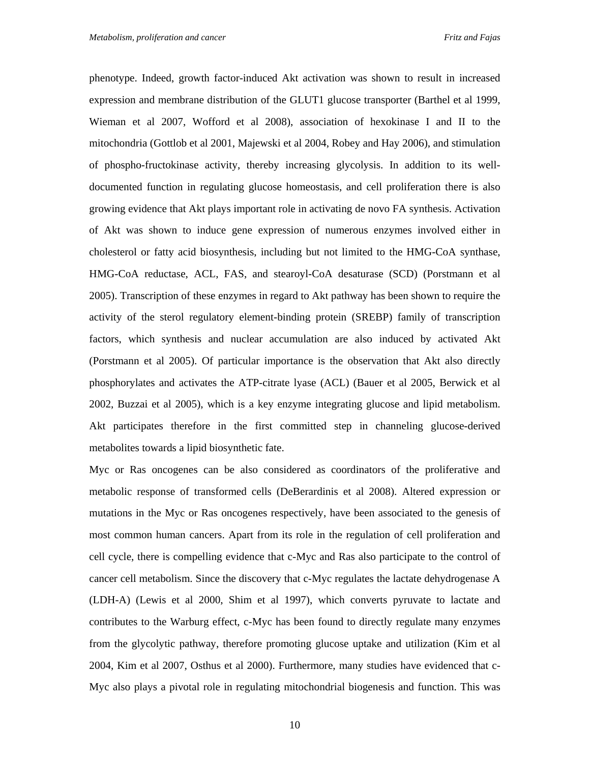phenotype. Indeed, growth factor-induced Akt activation was shown to result in increased expression and membrane distribution of the GLUT1 glucose transporter (Barthel et al 1999, Wieman et al 2007, Wofford et al 2008), association of hexokinase I and II to the mitochondria (Gottlob et al 2001, Majewski et al 2004, Robey and Hay 2006), and stimulation of phospho-fructokinase activity, thereby increasing glycolysis. In addition to its welldocumented function in regulating glucose homeostasis, and cell proliferation there is also growing evidence that Akt plays important role in activating de novo FA synthesis. Activation of Akt was shown to induce gene expression of numerous enzymes involved either in cholesterol or fatty acid biosynthesis, including but not limited to the HMG-CoA synthase, HMG-CoA reductase, ACL, FAS, and stearoyl-CoA desaturase (SCD) (Porstmann et al 2005). Transcription of these enzymes in regard to Akt pathway has been shown to require the activity of the sterol regulatory element-binding protein (SREBP) family of transcription factors, which synthesis and nuclear accumulation are also induced by activated Akt (Porstmann et al 2005). Of particular importance is the observation that Akt also directly phosphorylates and activates the ATP-citrate lyase (ACL) (Bauer et al 2005, Berwick et al 2002, Buzzai et al 2005), which is a key enzyme integrating glucose and lipid metabolism. Akt participates therefore in the first committed step in channeling glucose-derived metabolites towards a lipid biosynthetic fate.

Myc or Ras oncogenes can be also considered as coordinators of the proliferative and metabolic response of transformed cells (DeBerardinis et al 2008). Altered expression or mutations in the Myc or Ras oncogenes respectively, have been associated to the genesis of most common human cancers. Apart from its role in the regulation of cell proliferation and cell cycle, there is compelling evidence that c-Myc and Ras also participate to the control of cancer cell metabolism. Since the discovery that c-Myc regulates the lactate dehydrogenase A (LDH-A) (Lewis et al 2000, Shim et al 1997), which converts pyruvate to lactate and contributes to the Warburg effect, c-Myc has been found to directly regulate many enzymes from the glycolytic pathway, therefore promoting glucose uptake and utilization (Kim et al 2004, Kim et al 2007, Osthus et al 2000). Furthermore, many studies have evidenced that c-Myc also plays a pivotal role in regulating mitochondrial biogenesis and function. This was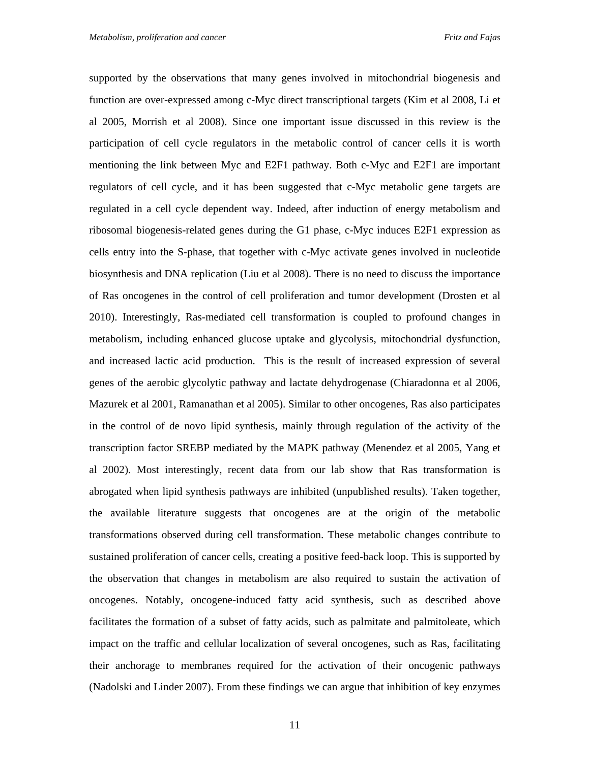supported by the observations that many genes involved in mitochondrial biogenesis and function are over-expressed among c-Myc direct transcriptional targets (Kim et al 2008, Li et al 2005, Morrish et al 2008). Since one important issue discussed in this review is the participation of cell cycle regulators in the metabolic control of cancer cells it is worth mentioning the link between Myc and E2F1 pathway. Both c-Myc and E2F1 are important regulators of cell cycle, and it has been suggested that c-Myc metabolic gene targets are regulated in a cell cycle dependent way. Indeed, after induction of energy metabolism and ribosomal biogenesis-related genes during the G1 phase, c-Myc induces E2F1 expression as cells entry into the S-phase, that together with c-Myc activate genes involved in nucleotide biosynthesis and DNA replication (Liu et al 2008). There is no need to discuss the importance of Ras oncogenes in the control of cell proliferation and tumor development (Drosten et al 2010). Interestingly, Ras-mediated cell transformation is coupled to profound changes in metabolism, including enhanced glucose uptake and glycolysis, mitochondrial dysfunction, and increased lactic acid production. This is the result of increased expression of several genes of the aerobic glycolytic pathway and lactate dehydrogenase (Chiaradonna et al 2006, Mazurek et al 2001, Ramanathan et al 2005). Similar to other oncogenes, Ras also participates in the control of de novo lipid synthesis, mainly through regulation of the activity of the transcription factor SREBP mediated by the MAPK pathway (Menendez et al 2005, Yang et al 2002). Most interestingly, recent data from our lab show that Ras transformation is abrogated when lipid synthesis pathways are inhibited (unpublished results). Taken together, the available literature suggests that oncogenes are at the origin of the metabolic transformations observed during cell transformation. These metabolic changes contribute to sustained proliferation of cancer cells, creating a positive feed-back loop. This is supported by the observation that changes in metabolism are also required to sustain the activation of oncogenes. Notably, oncogene-induced fatty acid synthesis, such as described above facilitates the formation of a subset of fatty acids, such as palmitate and palmitoleate, which impact on the traffic and cellular localization of several oncogenes, such as Ras, facilitating their anchorage to membranes required for the activation of their oncogenic pathways (Nadolski and Linder 2007). From these findings we can argue that inhibition of key enzymes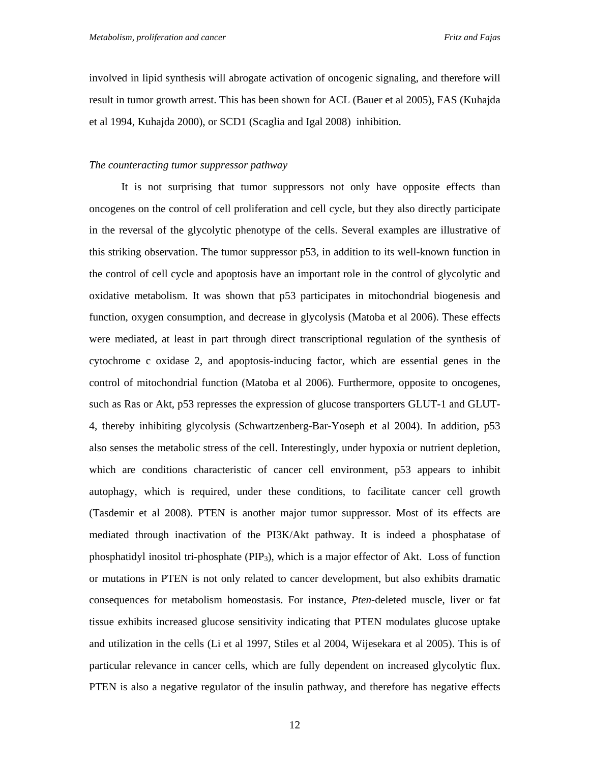involved in lipid synthesis will abrogate activation of oncogenic signaling, and therefore will result in tumor growth arrest. This has been shown for ACL (Bauer et al 2005), FAS (Kuhajda et al 1994, Kuhajda 2000), or SCD1 (Scaglia and Igal 2008) inhibition.

#### *The counteracting tumor suppressor pathway*

It is not surprising that tumor suppressors not only have opposite effects than oncogenes on the control of cell proliferation and cell cycle, but they also directly participate in the reversal of the glycolytic phenotype of the cells. Several examples are illustrative of this striking observation. The tumor suppressor p53, in addition to its well-known function in the control of cell cycle and apoptosis have an important role in the control of glycolytic and oxidative metabolism. It was shown that p53 participates in mitochondrial biogenesis and function, oxygen consumption, and decrease in glycolysis (Matoba et al 2006). These effects were mediated, at least in part through direct transcriptional regulation of the synthesis of cytochrome c oxidase 2, and apoptosis-inducing factor, which are essential genes in the control of mitochondrial function (Matoba et al 2006). Furthermore, opposite to oncogenes, such as Ras or Akt, p53 represses the expression of glucose transporters GLUT-1 and GLUT-4, thereby inhibiting glycolysis (Schwartzenberg-Bar-Yoseph et al 2004). In addition, p53 also senses the metabolic stress of the cell. Interestingly, under hypoxia or nutrient depletion, which are conditions characteristic of cancer cell environment, p53 appears to inhibit autophagy, which is required, under these conditions, to facilitate cancer cell growth (Tasdemir et al 2008). PTEN is another major tumor suppressor. Most of its effects are mediated through inactivation of the PI3K/Akt pathway. It is indeed a phosphatase of phosphatidyl inositol tri-phosphate (PIP3), which is a major effector of Akt. Loss of function or mutations in PTEN is not only related to cancer development, but also exhibits dramatic consequences for metabolism homeostasis. For instance, *Pten*-deleted muscle, liver or fat tissue exhibits increased glucose sensitivity indicating that PTEN modulates glucose uptake and utilization in the cells (Li et al 1997, Stiles et al 2004, Wijesekara et al 2005). This is of particular relevance in cancer cells, which are fully dependent on increased glycolytic flux. PTEN is also a negative regulator of the insulin pathway, and therefore has negative effects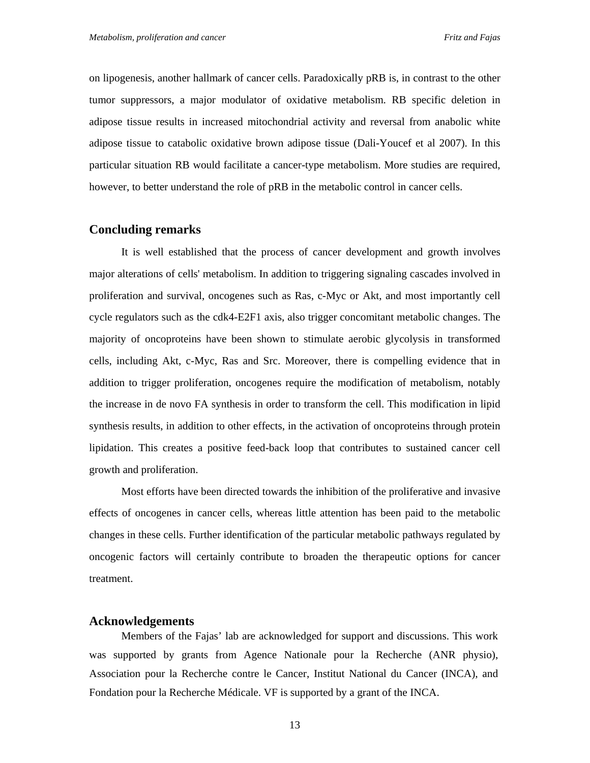on lipogenesis, another hallmark of cancer cells. Paradoxically pRB is, in contrast to the other tumor suppressors, a major modulator of oxidative metabolism. RB specific deletion in adipose tissue results in increased mitochondrial activity and reversal from anabolic white adipose tissue to catabolic oxidative brown adipose tissue (Dali-Youcef et al 2007). In this particular situation RB would facilitate a cancer-type metabolism. More studies are required, however, to better understand the role of pRB in the metabolic control in cancer cells.

#### **Concluding remarks**

It is well established that the process of cancer development and growth involves major alterations of cells' metabolism. In addition to triggering signaling cascades involved in proliferation and survival, oncogenes such as Ras, c-Myc or Akt, and most importantly cell cycle regulators such as the cdk4-E2F1 axis, also trigger concomitant metabolic changes. The majority of oncoproteins have been shown to stimulate aerobic glycolysis in transformed cells, including Akt, c-Myc, Ras and Src. Moreover, there is compelling evidence that in addition to trigger proliferation, oncogenes require the modification of metabolism, notably the increase in de novo FA synthesis in order to transform the cell. This modification in lipid synthesis results, in addition to other effects, in the activation of oncoproteins through protein lipidation. This creates a positive feed-back loop that contributes to sustained cancer cell growth and proliferation.

Most efforts have been directed towards the inhibition of the proliferative and invasive effects of oncogenes in cancer cells, whereas little attention has been paid to the metabolic changes in these cells. Further identification of the particular metabolic pathways regulated by oncogenic factors will certainly contribute to broaden the therapeutic options for cancer treatment.

#### **Acknowledgements**

Members of the Fajas' lab are acknowledged for support and discussions. This work was supported by grants from Agence Nationale pour la Recherche (ANR physio), Association pour la Recherche contre le Cancer, Institut National du Cancer (INCA), and Fondation pour la Recherche Médicale. VF is supported by a grant of the INCA.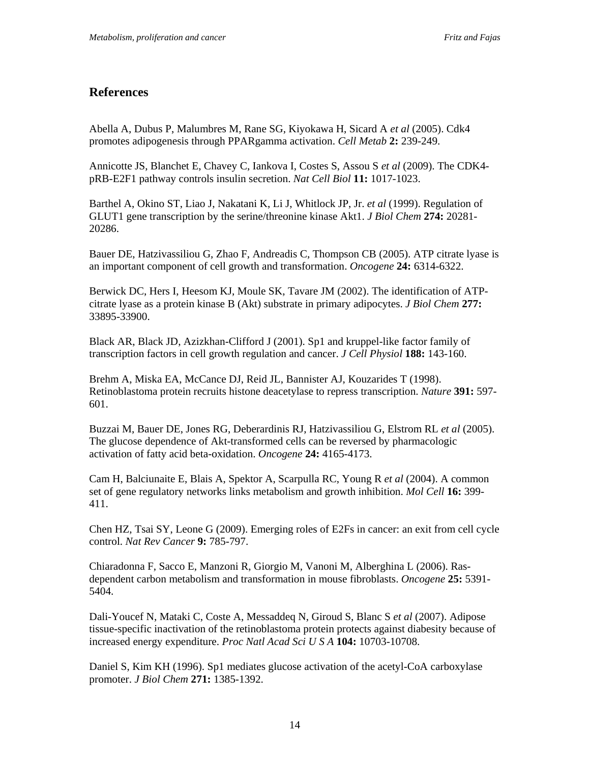### **References**

Abella A, Dubus P, Malumbres M, Rane SG, Kiyokawa H, Sicard A *et al* (2005). Cdk4 promotes adipogenesis through PPARgamma activation. *Cell Metab* **2:** 239-249.

Annicotte JS, Blanchet E, Chavey C, Iankova I, Costes S, Assou S *et al* (2009). The CDK4 pRB-E2F1 pathway controls insulin secretion. *Nat Cell Biol* **11:** 1017-1023.

Barthel A, Okino ST, Liao J, Nakatani K, Li J, Whitlock JP, Jr. *et al* (1999). Regulation of GLUT1 gene transcription by the serine/threonine kinase Akt1. *J Biol Chem* **274:** 20281- 20286.

Bauer DE, Hatzivassiliou G, Zhao F, Andreadis C, Thompson CB (2005). ATP citrate lyase is an important component of cell growth and transformation. *Oncogene* **24:** 6314-6322.

Berwick DC, Hers I, Heesom KJ, Moule SK, Tavare JM (2002). The identification of ATPcitrate lyase as a protein kinase B (Akt) substrate in primary adipocytes. *J Biol Chem* **277:** 33895-33900.

Black AR, Black JD, Azizkhan-Clifford J (2001). Sp1 and kruppel-like factor family of transcription factors in cell growth regulation and cancer. *J Cell Physiol* **188:** 143-160.

Brehm A, Miska EA, McCance DJ, Reid JL, Bannister AJ, Kouzarides T (1998). Retinoblastoma protein recruits histone deacetylase to repress transcription. *Nature* **391:** 597- 601.

Buzzai M, Bauer DE, Jones RG, Deberardinis RJ, Hatzivassiliou G, Elstrom RL *et al* (2005). The glucose dependence of Akt-transformed cells can be reversed by pharmacologic activation of fatty acid beta-oxidation. *Oncogene* **24:** 4165-4173.

Cam H, Balciunaite E, Blais A, Spektor A, Scarpulla RC, Young R *et al* (2004). A common set of gene regulatory networks links metabolism and growth inhibition. *Mol Cell* **16:** 399- 411.

Chen HZ, Tsai SY, Leone G (2009). Emerging roles of E2Fs in cancer: an exit from cell cycle control. *Nat Rev Cancer* **9:** 785-797.

Chiaradonna F, Sacco E, Manzoni R, Giorgio M, Vanoni M, Alberghina L (2006). Rasdependent carbon metabolism and transformation in mouse fibroblasts. *Oncogene* **25:** 5391- 5404.

Dali-Youcef N, Mataki C, Coste A, Messaddeq N, Giroud S, Blanc S *et al* (2007). Adipose tissue-specific inactivation of the retinoblastoma protein protects against diabesity because of increased energy expenditure. *Proc Natl Acad Sci U S A* **104:** 10703-10708.

Daniel S, Kim KH (1996). Sp1 mediates glucose activation of the acetyl-CoA carboxylase promoter. *J Biol Chem* **271:** 1385-1392.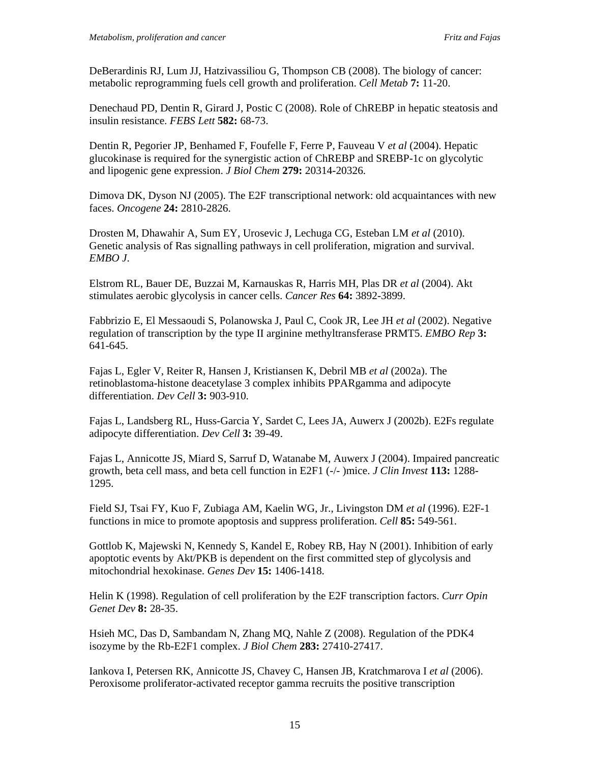DeBerardinis RJ, Lum JJ, Hatzivassiliou G, Thompson CB (2008). The biology of cancer: metabolic reprogramming fuels cell growth and proliferation. *Cell Metab* **7:** 11-20.

Denechaud PD, Dentin R, Girard J, Postic C (2008). Role of ChREBP in hepatic steatosis and insulin resistance. *FEBS Lett* **582:** 68-73.

Dentin R, Pegorier JP, Benhamed F, Foufelle F, Ferre P, Fauveau V *et al* (2004). Hepatic glucokinase is required for the synergistic action of ChREBP and SREBP-1c on glycolytic and lipogenic gene expression. *J Biol Chem* **279:** 20314-20326.

Dimova DK, Dyson NJ (2005). The E2F transcriptional network: old acquaintances with new faces. *Oncogene* **24:** 2810-2826.

Drosten M, Dhawahir A, Sum EY, Urosevic J, Lechuga CG, Esteban LM *et al* (2010). Genetic analysis of Ras signalling pathways in cell proliferation, migration and survival. *EMBO J*.

Elstrom RL, Bauer DE, Buzzai M, Karnauskas R, Harris MH, Plas DR *et al* (2004). Akt stimulates aerobic glycolysis in cancer cells. *Cancer Res* **64:** 3892-3899.

Fabbrizio E, El Messaoudi S, Polanowska J, Paul C, Cook JR, Lee JH *et al* (2002). Negative regulation of transcription by the type II arginine methyltransferase PRMT5. *EMBO Rep* **3:** 641-645.

Fajas L, Egler V, Reiter R, Hansen J, Kristiansen K, Debril MB *et al* (2002a). The retinoblastoma-histone deacetylase 3 complex inhibits PPARgamma and adipocyte differentiation. *Dev Cell* **3:** 903-910.

Fajas L, Landsberg RL, Huss-Garcia Y, Sardet C, Lees JA, Auwerx J (2002b). E2Fs regulate adipocyte differentiation. *Dev Cell* **3:** 39-49.

Fajas L, Annicotte JS, Miard S, Sarruf D, Watanabe M, Auwerx J (2004). Impaired pancreatic growth, beta cell mass, and beta cell function in E2F1 (-/- )mice. *J Clin Invest* **113:** 1288- 1295.

Field SJ, Tsai FY, Kuo F, Zubiaga AM, Kaelin WG, Jr., Livingston DM *et al* (1996). E2F-1 functions in mice to promote apoptosis and suppress proliferation. *Cell* **85:** 549-561.

Gottlob K, Majewski N, Kennedy S, Kandel E, Robey RB, Hay N (2001). Inhibition of early apoptotic events by Akt/PKB is dependent on the first committed step of glycolysis and mitochondrial hexokinase. *Genes Dev* **15:** 1406-1418.

Helin K (1998). Regulation of cell proliferation by the E2F transcription factors. *Curr Opin Genet Dev* **8:** 28-35.

Hsieh MC, Das D, Sambandam N, Zhang MQ, Nahle Z (2008). Regulation of the PDK4 isozyme by the Rb-E2F1 complex. *J Biol Chem* **283:** 27410-27417.

Iankova I, Petersen RK, Annicotte JS, Chavey C, Hansen JB, Kratchmarova I *et al* (2006). Peroxisome proliferator-activated receptor gamma recruits the positive transcription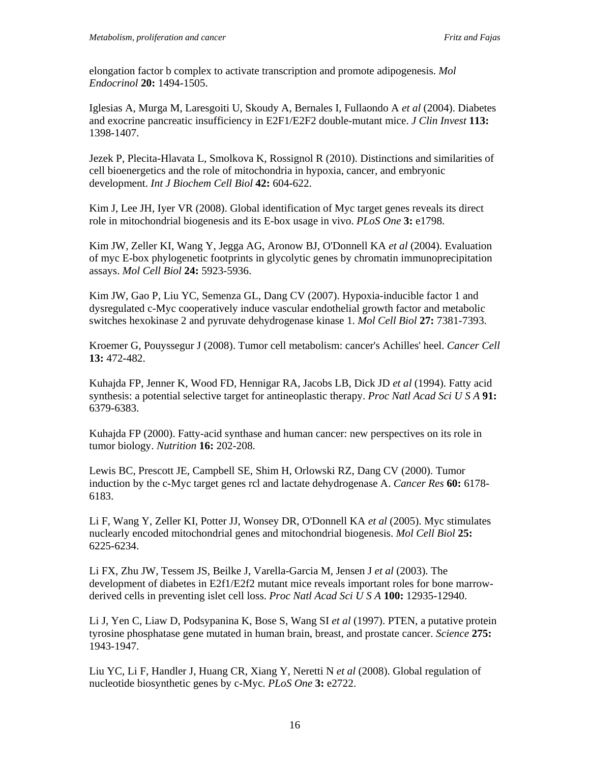elongation factor b complex to activate transcription and promote adipogenesis. *Mol Endocrinol* **20:** 1494-1505.

Iglesias A, Murga M, Laresgoiti U, Skoudy A, Bernales I, Fullaondo A *et al* (2004). Diabetes and exocrine pancreatic insufficiency in E2F1/E2F2 double-mutant mice. *J Clin Invest* **113:** 1398-1407.

Jezek P, Plecita-Hlavata L, Smolkova K, Rossignol R (2010). Distinctions and similarities of cell bioenergetics and the role of mitochondria in hypoxia, cancer, and embryonic development. *Int J Biochem Cell Biol* **42:** 604-622.

Kim J, Lee JH, Iyer VR (2008). Global identification of Myc target genes reveals its direct role in mitochondrial biogenesis and its E-box usage in vivo. *PLoS One* **3:** e1798.

Kim JW, Zeller KI, Wang Y, Jegga AG, Aronow BJ, O'Donnell KA *et al* (2004). Evaluation of myc E-box phylogenetic footprints in glycolytic genes by chromatin immunoprecipitation assays. *Mol Cell Biol* **24:** 5923-5936.

Kim JW, Gao P, Liu YC, Semenza GL, Dang CV (2007). Hypoxia-inducible factor 1 and dysregulated c-Myc cooperatively induce vascular endothelial growth factor and metabolic switches hexokinase 2 and pyruvate dehydrogenase kinase 1. *Mol Cell Biol* **27:** 7381-7393.

Kroemer G, Pouyssegur J (2008). Tumor cell metabolism: cancer's Achilles' heel. *Cancer Cell* **13:** 472-482.

Kuhajda FP, Jenner K, Wood FD, Hennigar RA, Jacobs LB, Dick JD *et al* (1994). Fatty acid synthesis: a potential selective target for antineoplastic therapy. *Proc Natl Acad Sci U S A* **91:** 6379-6383.

Kuhajda FP (2000). Fatty-acid synthase and human cancer: new perspectives on its role in tumor biology. *Nutrition* **16:** 202-208.

Lewis BC, Prescott JE, Campbell SE, Shim H, Orlowski RZ, Dang CV (2000). Tumor induction by the c-Myc target genes rcl and lactate dehydrogenase A. *Cancer Res* **60:** 6178- 6183.

Li F, Wang Y, Zeller KI, Potter JJ, Wonsey DR, O'Donnell KA *et al* (2005). Myc stimulates nuclearly encoded mitochondrial genes and mitochondrial biogenesis. *Mol Cell Biol* **25:** 6225-6234.

Li FX, Zhu JW, Tessem JS, Beilke J, Varella-Garcia M, Jensen J *et al* (2003). The development of diabetes in E2f1/E2f2 mutant mice reveals important roles for bone marrowderived cells in preventing islet cell loss. *Proc Natl Acad Sci U S A* **100:** 12935-12940.

Li J, Yen C, Liaw D, Podsypanina K, Bose S, Wang SI *et al* (1997). PTEN, a putative protein tyrosine phosphatase gene mutated in human brain, breast, and prostate cancer. *Science* **275:** 1943-1947.

Liu YC, Li F, Handler J, Huang CR, Xiang Y, Neretti N *et al* (2008). Global regulation of nucleotide biosynthetic genes by c-Myc. *PLoS One* **3:** e2722.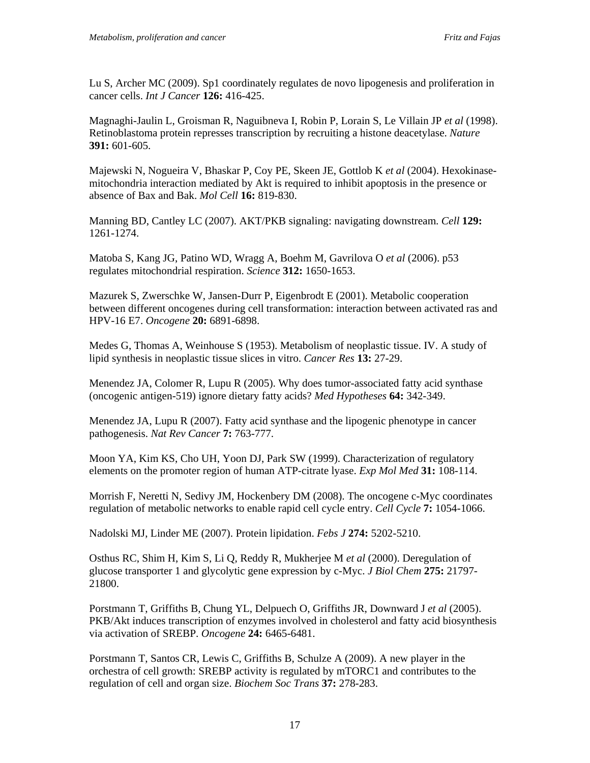Lu S, Archer MC (2009). Sp1 coordinately regulates de novo lipogenesis and proliferation in cancer cells. *Int J Cancer* **126:** 416-425.

Magnaghi-Jaulin L, Groisman R, Naguibneva I, Robin P, Lorain S, Le Villain JP *et al* (1998). Retinoblastoma protein represses transcription by recruiting a histone deacetylase. *Nature* **391:** 601-605.

Majewski N, Nogueira V, Bhaskar P, Coy PE, Skeen JE, Gottlob K *et al* (2004). Hexokinasemitochondria interaction mediated by Akt is required to inhibit apoptosis in the presence or absence of Bax and Bak. *Mol Cell* **16:** 819-830.

Manning BD, Cantley LC (2007). AKT/PKB signaling: navigating downstream. *Cell* **129:** 1261-1274.

Matoba S, Kang JG, Patino WD, Wragg A, Boehm M, Gavrilova O *et al* (2006). p53 regulates mitochondrial respiration. *Science* **312:** 1650-1653.

Mazurek S, Zwerschke W, Jansen-Durr P, Eigenbrodt E (2001). Metabolic cooperation between different oncogenes during cell transformation: interaction between activated ras and HPV-16 E7. *Oncogene* **20:** 6891-6898.

Medes G, Thomas A, Weinhouse S (1953). Metabolism of neoplastic tissue. IV. A study of lipid synthesis in neoplastic tissue slices in vitro. *Cancer Res* **13:** 27-29.

Menendez JA, Colomer R, Lupu R (2005). Why does tumor-associated fatty acid synthase (oncogenic antigen-519) ignore dietary fatty acids? *Med Hypotheses* **64:** 342-349.

Menendez JA, Lupu R (2007). Fatty acid synthase and the lipogenic phenotype in cancer pathogenesis. *Nat Rev Cancer* **7:** 763-777.

Moon YA, Kim KS, Cho UH, Yoon DJ, Park SW (1999). Characterization of regulatory elements on the promoter region of human ATP-citrate lyase. *Exp Mol Med* **31:** 108-114.

Morrish F, Neretti N, Sedivy JM, Hockenbery DM (2008). The oncogene c-Myc coordinates regulation of metabolic networks to enable rapid cell cycle entry. *Cell Cycle* **7:** 1054-1066.

Nadolski MJ, Linder ME (2007). Protein lipidation. *Febs J* **274:** 5202-5210.

Osthus RC, Shim H, Kim S, Li Q, Reddy R, Mukherjee M *et al* (2000). Deregulation of glucose transporter 1 and glycolytic gene expression by c-Myc. *J Biol Chem* **275:** 21797- 21800.

Porstmann T, Griffiths B, Chung YL, Delpuech O, Griffiths JR, Downward J *et al* (2005). PKB/Akt induces transcription of enzymes involved in cholesterol and fatty acid biosynthesis via activation of SREBP. *Oncogene* **24:** 6465-6481.

Porstmann T, Santos CR, Lewis C, Griffiths B, Schulze A (2009). A new player in the orchestra of cell growth: SREBP activity is regulated by mTORC1 and contributes to the regulation of cell and organ size. *Biochem Soc Trans* **37:** 278-283.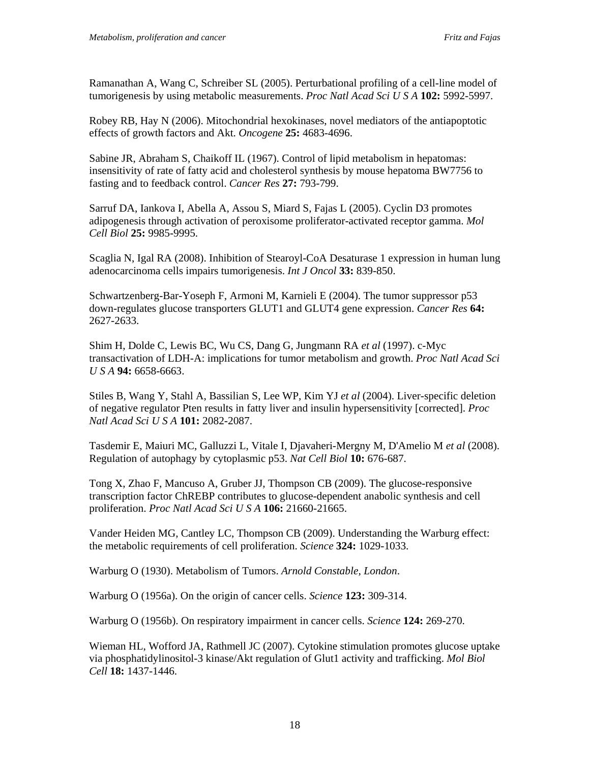Ramanathan A, Wang C, Schreiber SL (2005). Perturbational profiling of a cell-line model of tumorigenesis by using metabolic measurements. *Proc Natl Acad Sci U S A* **102:** 5992-5997.

Robey RB, Hay N (2006). Mitochondrial hexokinases, novel mediators of the antiapoptotic effects of growth factors and Akt. *Oncogene* **25:** 4683-4696.

Sabine JR, Abraham S, Chaikoff IL (1967). Control of lipid metabolism in hepatomas: insensitivity of rate of fatty acid and cholesterol synthesis by mouse hepatoma BW7756 to fasting and to feedback control. *Cancer Res* **27:** 793-799.

Sarruf DA, Iankova I, Abella A, Assou S, Miard S, Fajas L (2005). Cyclin D3 promotes adipogenesis through activation of peroxisome proliferator-activated receptor gamma. *Mol Cell Biol* **25:** 9985-9995.

Scaglia N, Igal RA (2008). Inhibition of Stearoyl-CoA Desaturase 1 expression in human lung adenocarcinoma cells impairs tumorigenesis. *Int J Oncol* **33:** 839-850.

Schwartzenberg-Bar-Yoseph F, Armoni M, Karnieli E (2004). The tumor suppressor p53 down-regulates glucose transporters GLUT1 and GLUT4 gene expression. *Cancer Res* **64:** 2627-2633.

Shim H, Dolde C, Lewis BC, Wu CS, Dang G, Jungmann RA *et al* (1997). c-Myc transactivation of LDH-A: implications for tumor metabolism and growth. *Proc Natl Acad Sci U S A* **94:** 6658-6663.

Stiles B, Wang Y, Stahl A, Bassilian S, Lee WP, Kim YJ *et al* (2004). Liver-specific deletion of negative regulator Pten results in fatty liver and insulin hypersensitivity [corrected]. *Proc Natl Acad Sci U S A* **101:** 2082-2087.

Tasdemir E, Maiuri MC, Galluzzi L, Vitale I, Djavaheri-Mergny M, D'Amelio M *et al* (2008). Regulation of autophagy by cytoplasmic p53. *Nat Cell Biol* **10:** 676-687.

Tong X, Zhao F, Mancuso A, Gruber JJ, Thompson CB (2009). The glucose-responsive transcription factor ChREBP contributes to glucose-dependent anabolic synthesis and cell proliferation. *Proc Natl Acad Sci U S A* **106:** 21660-21665.

Vander Heiden MG, Cantley LC, Thompson CB (2009). Understanding the Warburg effect: the metabolic requirements of cell proliferation. *Science* **324:** 1029-1033.

Warburg O (1930). Metabolism of Tumors. *Arnold Constable, London*.

Warburg O (1956a). On the origin of cancer cells. *Science* **123:** 309-314.

Warburg O (1956b). On respiratory impairment in cancer cells. *Science* **124:** 269-270.

Wieman HL, Wofford JA, Rathmell JC (2007). Cytokine stimulation promotes glucose uptake via phosphatidylinositol-3 kinase/Akt regulation of Glut1 activity and trafficking. *Mol Biol Cell* **18:** 1437-1446.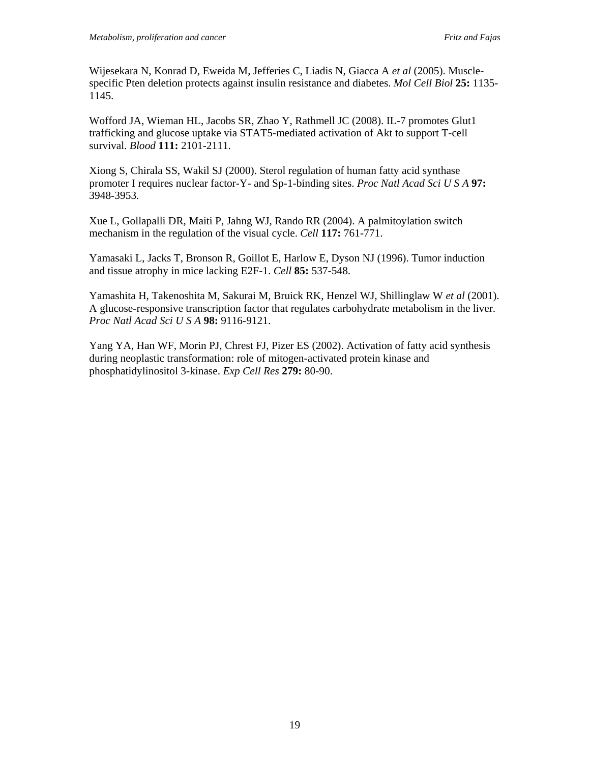Wijesekara N, Konrad D, Eweida M, Jefferies C, Liadis N, Giacca A *et al* (2005). Musclespecific Pten deletion protects against insulin resistance and diabetes. *Mol Cell Biol* **25:** 1135- 1145.

Wofford JA, Wieman HL, Jacobs SR, Zhao Y, Rathmell JC (2008). IL-7 promotes Glut1 trafficking and glucose uptake via STAT5-mediated activation of Akt to support T-cell survival. *Blood* **111:** 2101-2111.

Xiong S, Chirala SS, Wakil SJ (2000). Sterol regulation of human fatty acid synthase promoter I requires nuclear factor-Y- and Sp-1-binding sites. *Proc Natl Acad Sci U S A* **97:** 3948-3953.

Xue L, Gollapalli DR, Maiti P, Jahng WJ, Rando RR (2004). A palmitoylation switch mechanism in the regulation of the visual cycle. *Cell* **117:** 761-771.

Yamasaki L, Jacks T, Bronson R, Goillot E, Harlow E, Dyson NJ (1996). Tumor induction and tissue atrophy in mice lacking E2F-1. *Cell* **85:** 537-548.

Yamashita H, Takenoshita M, Sakurai M, Bruick RK, Henzel WJ, Shillinglaw W *et al* (2001). A glucose-responsive transcription factor that regulates carbohydrate metabolism in the liver. *Proc Natl Acad Sci U S A* **98:** 9116-9121.

Yang YA, Han WF, Morin PJ, Chrest FJ, Pizer ES (2002). Activation of fatty acid synthesis during neoplastic transformation: role of mitogen-activated protein kinase and phosphatidylinositol 3-kinase. *Exp Cell Res* **279:** 80-90.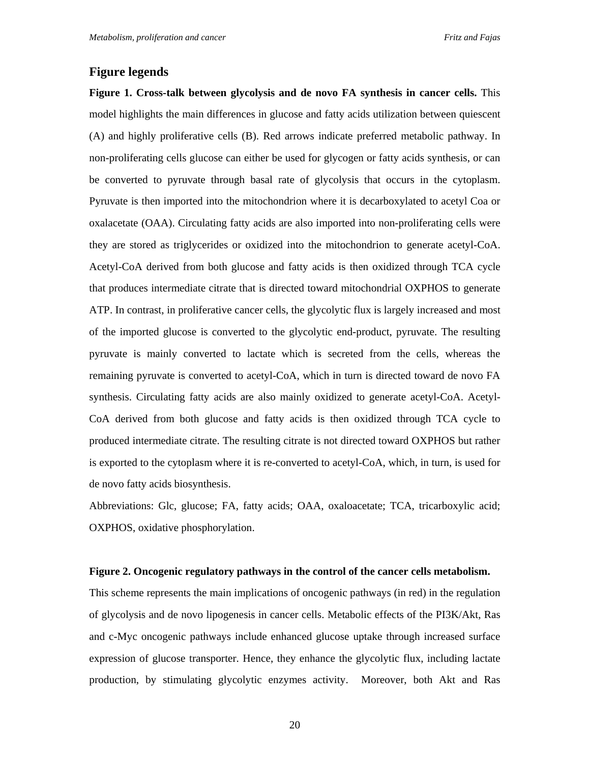#### **Figure legends**

**Figure 1. Cross-talk between glycolysis and de novo FA synthesis in cancer cells.** This model highlights the main differences in glucose and fatty acids utilization between quiescent (A) and highly proliferative cells (B). Red arrows indicate preferred metabolic pathway. In non-proliferating cells glucose can either be used for glycogen or fatty acids synthesis, or can be converted to pyruvate through basal rate of glycolysis that occurs in the cytoplasm. Pyruvate is then imported into the mitochondrion where it is decarboxylated to acetyl Coa or oxalacetate (OAA). Circulating fatty acids are also imported into non-proliferating cells were they are stored as triglycerides or oxidized into the mitochondrion to generate acetyl-CoA. Acetyl-CoA derived from both glucose and fatty acids is then oxidized through TCA cycle that produces intermediate citrate that is directed toward mitochondrial OXPHOS to generate ATP. In contrast, in proliferative cancer cells, the glycolytic flux is largely increased and most of the imported glucose is converted to the glycolytic end-product, pyruvate. The resulting pyruvate is mainly converted to lactate which is secreted from the cells, whereas the remaining pyruvate is converted to acetyl-CoA, which in turn is directed toward de novo FA synthesis. Circulating fatty acids are also mainly oxidized to generate acetyl-CoA. Acetyl-CoA derived from both glucose and fatty acids is then oxidized through TCA cycle to produced intermediate citrate. The resulting citrate is not directed toward OXPHOS but rather is exported to the cytoplasm where it is re-converted to acetyl-CoA, which, in turn, is used for de novo fatty acids biosynthesis.

Abbreviations: Glc, glucose; FA, fatty acids; OAA, oxaloacetate; TCA, tricarboxylic acid; OXPHOS, oxidative phosphorylation.

#### **Figure 2. Oncogenic regulatory pathways in the control of the cancer cells metabolism.**

This scheme represents the main implications of oncogenic pathways (in red) in the regulation of glycolysis and de novo lipogenesis in cancer cells. Metabolic effects of the PI3K/Akt, Ras and c-Myc oncogenic pathways include enhanced glucose uptake through increased surface expression of glucose transporter. Hence, they enhance the glycolytic flux, including lactate production, by stimulating glycolytic enzymes activity. Moreover, both Akt and Ras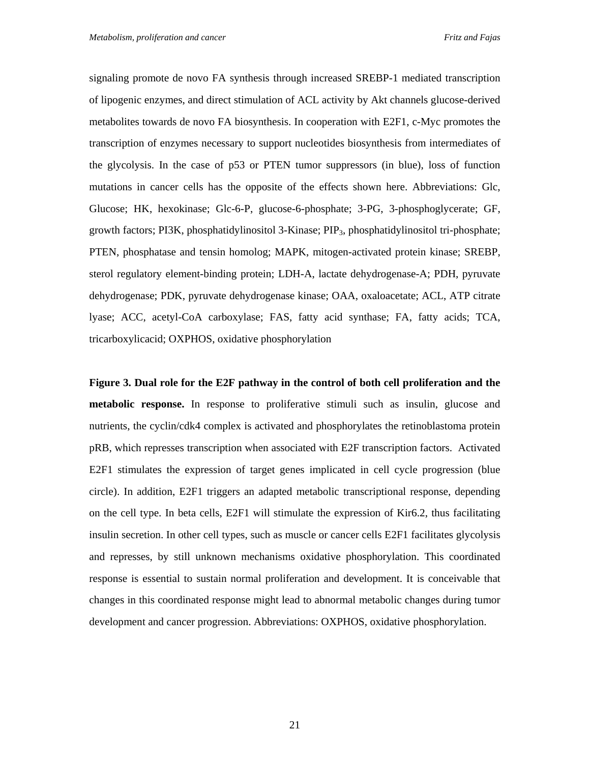signaling promote de novo FA synthesis through increased SREBP-1 mediated transcription of lipogenic enzymes, and direct stimulation of ACL activity by Akt channels glucose-derived metabolites towards de novo FA biosynthesis. In cooperation with E2F1, c-Myc promotes the transcription of enzymes necessary to support nucleotides biosynthesis from intermediates of the glycolysis. In the case of p53 or PTEN tumor suppressors (in blue), loss of function mutations in cancer cells has the opposite of the effects shown here. Abbreviations: Glc, Glucose; HK, hexokinase; Glc-6-P, glucose-6-phosphate; 3-PG, 3-phosphoglycerate; GF, growth factors; PI3K, phosphatidylinositol 3-Kinase; PIP3, phosphatidylinositol tri-phosphate; PTEN, phosphatase and tensin homolog; MAPK, mitogen-activated protein kinase; SREBP, sterol regulatory element-binding protein; LDH-A, lactate dehydrogenase-A; PDH, pyruvate dehydrogenase; PDK, pyruvate dehydrogenase kinase; OAA, oxaloacetate; ACL, ATP citrate lyase; ACC, acetyl-CoA carboxylase; FAS, fatty acid synthase; FA, fatty acids; TCA, tricarboxylicacid; OXPHOS, oxidative phosphorylation

**Figure 3. Dual role for the E2F pathway in the control of both cell proliferation and the metabolic response.** In response to proliferative stimuli such as insulin, glucose and nutrients, the cyclin/cdk4 complex is activated and phosphorylates the retinoblastoma protein pRB, which represses transcription when associated with E2F transcription factors. Activated E2F1 stimulates the expression of target genes implicated in cell cycle progression (blue circle). In addition, E2F1 triggers an adapted metabolic transcriptional response, depending on the cell type. In beta cells, E2F1 will stimulate the expression of Kir6.2, thus facilitating insulin secretion. In other cell types, such as muscle or cancer cells E2F1 facilitates glycolysis and represses, by still unknown mechanisms oxidative phosphorylation. This coordinated response is essential to sustain normal proliferation and development. It is conceivable that changes in this coordinated response might lead to abnormal metabolic changes during tumor development and cancer progression. Abbreviations: OXPHOS, oxidative phosphorylation.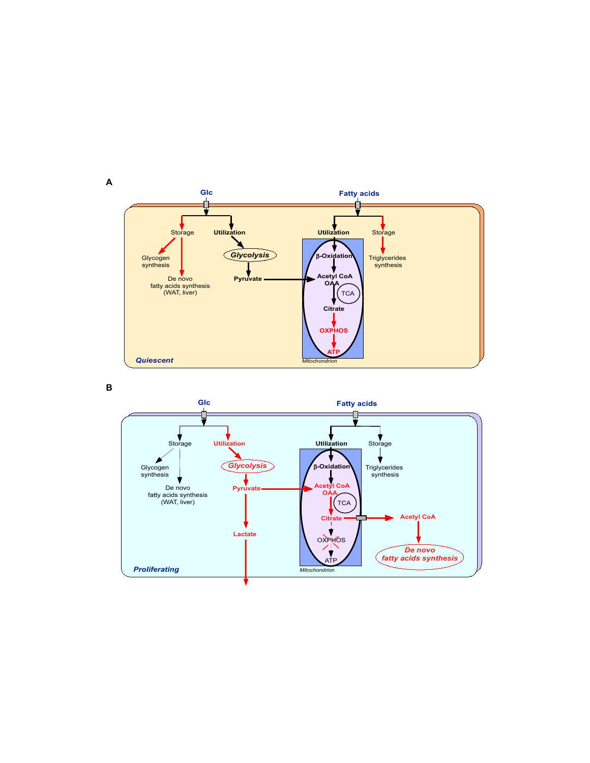

**B**

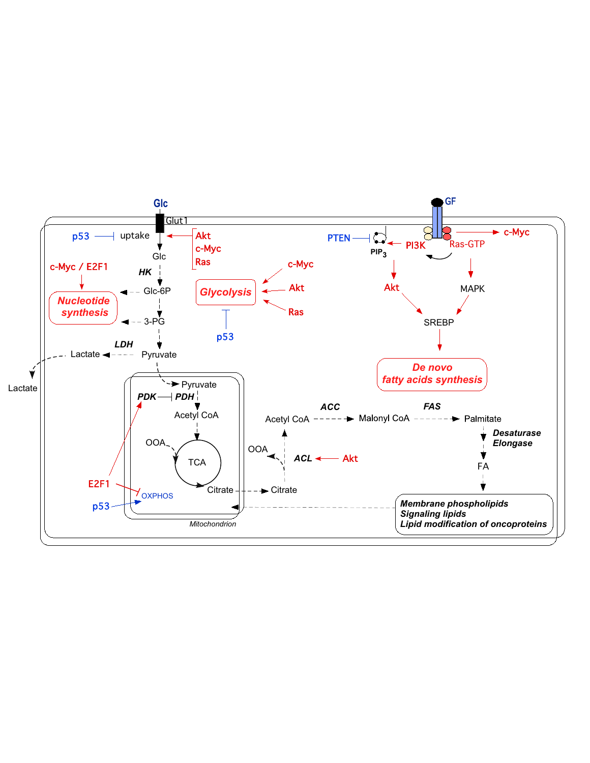